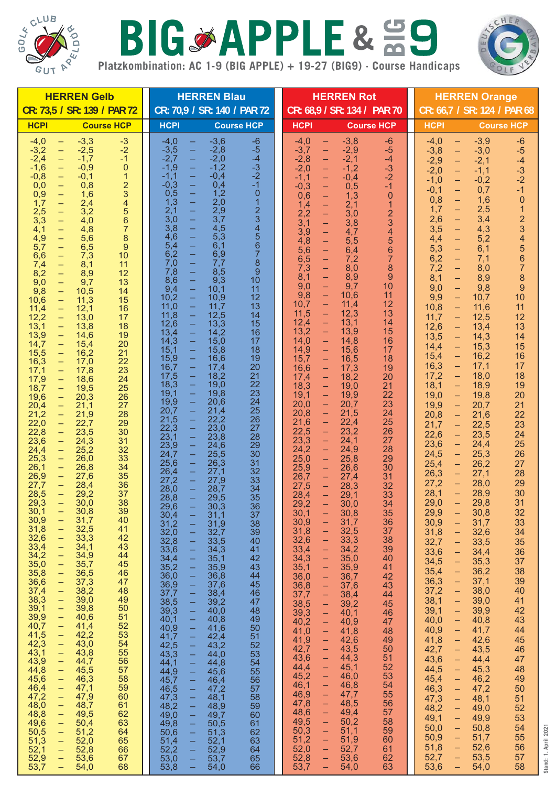

## BIGSAPPLE& 59



**Stand: 1. April 2021**

Stand: 1. April 2021

**Platzkombination: AC 1-9 (BIG APPLE) + 19-27 (BIG9) · Course Handicaps**

| <b>HERREN Gelb</b>                                                                                                                                                                                                                                                                                                                                                                                                                                                                                                                                                                                                                                                                                                                                                                                                                                                                                                                                                                                                                                                                                                                                                                                                                                                                                                                                                                                                                                                                                                                                                                                                                                                                                                                                                                                                                                                                                                                                                                                                                                                                                                                                                                                                                                                                                                                                                                                                                                                                                                                                                                                                                                                                                     | <b>HERREN Blau</b>                                                                                                                                                                                                                                                                                                                                                                                                                                                                                                                                                                                                                                                                                                                                                                                                                                                                                                                                                                                                                                                                                                                                                                                                                                                                                                                                                                                                                                                                                                                                                                                                                                                                                                                                                                                                                                                                                                                                                                                                                                                                                                                                                                                                                                                                                                                                   | <b>HERREN Rot</b>                                                                                                                                                                                                                                                                                                                                                                                                                                                                                                                                                                                                                                                                                                                                                                                                                                                                                                                                                                                                                                                                                                                                                                                                                                                                                                                                                                                                                                                                                                                                                                                                                                                                                                                                                                                                                                                                                                                                                                                                                                                                                                                                                                                                                                                                                                                                                                                                                                                                                                                                                                                                                                                         | <b>HERREN Orange</b>                                                                                                                                                                                                                                                                                                                                                                                                                                                                                                                                                                                                                                                                                                                                                                                                                                                                                                                                                                                                                                                                                                                                                                                                                                                                                                                                                                                                                                                                                                                                                                                                                                                                                                                                                                                                                                                                                                                                                                                                                                                                                                                                                                                                                                                                                                                                                                                                                                                                                                                                    |
|--------------------------------------------------------------------------------------------------------------------------------------------------------------------------------------------------------------------------------------------------------------------------------------------------------------------------------------------------------------------------------------------------------------------------------------------------------------------------------------------------------------------------------------------------------------------------------------------------------------------------------------------------------------------------------------------------------------------------------------------------------------------------------------------------------------------------------------------------------------------------------------------------------------------------------------------------------------------------------------------------------------------------------------------------------------------------------------------------------------------------------------------------------------------------------------------------------------------------------------------------------------------------------------------------------------------------------------------------------------------------------------------------------------------------------------------------------------------------------------------------------------------------------------------------------------------------------------------------------------------------------------------------------------------------------------------------------------------------------------------------------------------------------------------------------------------------------------------------------------------------------------------------------------------------------------------------------------------------------------------------------------------------------------------------------------------------------------------------------------------------------------------------------------------------------------------------------------------------------------------------------------------------------------------------------------------------------------------------------------------------------------------------------------------------------------------------------------------------------------------------------------------------------------------------------------------------------------------------------------------------------------------------------------------------------------------------------|------------------------------------------------------------------------------------------------------------------------------------------------------------------------------------------------------------------------------------------------------------------------------------------------------------------------------------------------------------------------------------------------------------------------------------------------------------------------------------------------------------------------------------------------------------------------------------------------------------------------------------------------------------------------------------------------------------------------------------------------------------------------------------------------------------------------------------------------------------------------------------------------------------------------------------------------------------------------------------------------------------------------------------------------------------------------------------------------------------------------------------------------------------------------------------------------------------------------------------------------------------------------------------------------------------------------------------------------------------------------------------------------------------------------------------------------------------------------------------------------------------------------------------------------------------------------------------------------------------------------------------------------------------------------------------------------------------------------------------------------------------------------------------------------------------------------------------------------------------------------------------------------------------------------------------------------------------------------------------------------------------------------------------------------------------------------------------------------------------------------------------------------------------------------------------------------------------------------------------------------------------------------------------------------------------------------------------------------------|---------------------------------------------------------------------------------------------------------------------------------------------------------------------------------------------------------------------------------------------------------------------------------------------------------------------------------------------------------------------------------------------------------------------------------------------------------------------------------------------------------------------------------------------------------------------------------------------------------------------------------------------------------------------------------------------------------------------------------------------------------------------------------------------------------------------------------------------------------------------------------------------------------------------------------------------------------------------------------------------------------------------------------------------------------------------------------------------------------------------------------------------------------------------------------------------------------------------------------------------------------------------------------------------------------------------------------------------------------------------------------------------------------------------------------------------------------------------------------------------------------------------------------------------------------------------------------------------------------------------------------------------------------------------------------------------------------------------------------------------------------------------------------------------------------------------------------------------------------------------------------------------------------------------------------------------------------------------------------------------------------------------------------------------------------------------------------------------------------------------------------------------------------------------------------------------------------------------------------------------------------------------------------------------------------------------------------------------------------------------------------------------------------------------------------------------------------------------------------------------------------------------------------------------------------------------------------------------------------------------------------------------------------------------------|---------------------------------------------------------------------------------------------------------------------------------------------------------------------------------------------------------------------------------------------------------------------------------------------------------------------------------------------------------------------------------------------------------------------------------------------------------------------------------------------------------------------------------------------------------------------------------------------------------------------------------------------------------------------------------------------------------------------------------------------------------------------------------------------------------------------------------------------------------------------------------------------------------------------------------------------------------------------------------------------------------------------------------------------------------------------------------------------------------------------------------------------------------------------------------------------------------------------------------------------------------------------------------------------------------------------------------------------------------------------------------------------------------------------------------------------------------------------------------------------------------------------------------------------------------------------------------------------------------------------------------------------------------------------------------------------------------------------------------------------------------------------------------------------------------------------------------------------------------------------------------------------------------------------------------------------------------------------------------------------------------------------------------------------------------------------------------------------------------------------------------------------------------------------------------------------------------------------------------------------------------------------------------------------------------------------------------------------------------------------------------------------------------------------------------------------------------------------------------------------------------------------------------------------------------|
| CR: 73,5 / SR: 139 / PAR 72                                                                                                                                                                                                                                                                                                                                                                                                                                                                                                                                                                                                                                                                                                                                                                                                                                                                                                                                                                                                                                                                                                                                                                                                                                                                                                                                                                                                                                                                                                                                                                                                                                                                                                                                                                                                                                                                                                                                                                                                                                                                                                                                                                                                                                                                                                                                                                                                                                                                                                                                                                                                                                                                            | CR: 70,9 / SR: 140 / PAR 72                                                                                                                                                                                                                                                                                                                                                                                                                                                                                                                                                                                                                                                                                                                                                                                                                                                                                                                                                                                                                                                                                                                                                                                                                                                                                                                                                                                                                                                                                                                                                                                                                                                                                                                                                                                                                                                                                                                                                                                                                                                                                                                                                                                                                                                                                                                          | CR: 68,9 / SR: 134 / PAR 70                                                                                                                                                                                                                                                                                                                                                                                                                                                                                                                                                                                                                                                                                                                                                                                                                                                                                                                                                                                                                                                                                                                                                                                                                                                                                                                                                                                                                                                                                                                                                                                                                                                                                                                                                                                                                                                                                                                                                                                                                                                                                                                                                                                                                                                                                                                                                                                                                                                                                                                                                                                                                                               | CR: 66,7 / SR: 124 / PAR 68                                                                                                                                                                                                                                                                                                                                                                                                                                                                                                                                                                                                                                                                                                                                                                                                                                                                                                                                                                                                                                                                                                                                                                                                                                                                                                                                                                                                                                                                                                                                                                                                                                                                                                                                                                                                                                                                                                                                                                                                                                                                                                                                                                                                                                                                                                                                                                                                                                                                                                                             |
| <b>Course HCP</b>                                                                                                                                                                                                                                                                                                                                                                                                                                                                                                                                                                                                                                                                                                                                                                                                                                                                                                                                                                                                                                                                                                                                                                                                                                                                                                                                                                                                                                                                                                                                                                                                                                                                                                                                                                                                                                                                                                                                                                                                                                                                                                                                                                                                                                                                                                                                                                                                                                                                                                                                                                                                                                                                                      | <b>HCPI</b>                                                                                                                                                                                                                                                                                                                                                                                                                                                                                                                                                                                                                                                                                                                                                                                                                                                                                                                                                                                                                                                                                                                                                                                                                                                                                                                                                                                                                                                                                                                                                                                                                                                                                                                                                                                                                                                                                                                                                                                                                                                                                                                                                                                                                                                                                                                                          | <b>Course HCP</b>                                                                                                                                                                                                                                                                                                                                                                                                                                                                                                                                                                                                                                                                                                                                                                                                                                                                                                                                                                                                                                                                                                                                                                                                                                                                                                                                                                                                                                                                                                                                                                                                                                                                                                                                                                                                                                                                                                                                                                                                                                                                                                                                                                                                                                                                                                                                                                                                                                                                                                                                                                                                                                                         | <b>HCPI</b>                                                                                                                                                                                                                                                                                                                                                                                                                                                                                                                                                                                                                                                                                                                                                                                                                                                                                                                                                                                                                                                                                                                                                                                                                                                                                                                                                                                                                                                                                                                                                                                                                                                                                                                                                                                                                                                                                                                                                                                                                                                                                                                                                                                                                                                                                                                                                                                                                                                                                                                                             |
| <b>HCPI</b>                                                                                                                                                                                                                                                                                                                                                                                                                                                                                                                                                                                                                                                                                                                                                                                                                                                                                                                                                                                                                                                                                                                                                                                                                                                                                                                                                                                                                                                                                                                                                                                                                                                                                                                                                                                                                                                                                                                                                                                                                                                                                                                                                                                                                                                                                                                                                                                                                                                                                                                                                                                                                                                                                            | <b>Course HCP</b>                                                                                                                                                                                                                                                                                                                                                                                                                                                                                                                                                                                                                                                                                                                                                                                                                                                                                                                                                                                                                                                                                                                                                                                                                                                                                                                                                                                                                                                                                                                                                                                                                                                                                                                                                                                                                                                                                                                                                                                                                                                                                                                                                                                                                                                                                                                                    | <b>HCPI</b>                                                                                                                                                                                                                                                                                                                                                                                                                                                                                                                                                                                                                                                                                                                                                                                                                                                                                                                                                                                                                                                                                                                                                                                                                                                                                                                                                                                                                                                                                                                                                                                                                                                                                                                                                                                                                                                                                                                                                                                                                                                                                                                                                                                                                                                                                                                                                                                                                                                                                                                                                                                                                                                               | <b>Course HCP</b>                                                                                                                                                                                                                                                                                                                                                                                                                                                                                                                                                                                                                                                                                                                                                                                                                                                                                                                                                                                                                                                                                                                                                                                                                                                                                                                                                                                                                                                                                                                                                                                                                                                                                                                                                                                                                                                                                                                                                                                                                                                                                                                                                                                                                                                                                                                                                                                                                                                                                                                                       |
| $-3,3$<br>$-3$<br>$-4,0$<br>$\equiv$<br>$-2$<br>$-3,2$<br>$-2,5$<br>$\equiv$<br>$-1$<br>$-2,4$<br>$\equiv$<br>$-1,7$<br>$-1,6$<br>$\equiv$<br>$\overline{0}$<br>$-0,9$<br>$\overline{1}$<br>$-0,8$<br>$-0,1$<br>$\equiv$<br>$\frac{2}{3}$<br>0,0<br>$\equiv$<br>0,8<br>0,9<br>$\equiv$<br>1,6<br>$\overline{\mathbf{4}}$<br>1,7<br>$\equiv$<br>2,4<br>5<br>6<br>7<br>$\Box$<br>2,5<br>3,2<br>$\bar{\mathbb{I}}$<br>3,3<br>4,0<br>4,1<br>4,8<br>8<br>4,9<br>$\equiv$<br>5,6<br>5,7<br>$\equiv$<br>$\overline{9}$<br>6,5<br>6,6<br>10<br>$\equiv$<br>7,3<br>8,1<br>$\equiv$<br>11<br>7,4<br>8,2<br>$\equiv$<br>8,9<br>12<br>9,0<br>9,7<br>13<br>$\equiv$<br>9,8<br>10,5<br>14<br>$\equiv$<br>10,6<br>15<br>11,3<br>$\equiv$<br>12,1<br>11,4<br>16<br>$\equiv$<br>12,2<br>13,0<br>17<br>$\overline{\phantom{m}}$<br>13,8<br>13,1<br>$\equiv$<br>18<br>19<br>13,9<br>14,6<br>$\equiv$<br>14,7<br>15,4<br>20<br>$\overline{\phantom{m}}$<br>16,2<br>15,5<br>21<br>$\equiv$<br>16,3<br>22<br>17,0<br>$\equiv$<br>23<br>$\equiv$<br>17,8<br>17,1<br>18,6<br>24<br>17,9<br>$\equiv$<br>25<br>18,7<br>19,5<br>$\equiv$<br>26<br>19,6<br>20,3<br>$\rightarrow$<br>21,1<br>27<br>20,4<br>$\rightarrow$<br>21,2<br>21,9<br>28<br>$\rightarrow$<br>22,0<br>22,7<br>29<br>$\equiv$<br>$\overline{30}$<br>22,8<br>23,5<br>$\rightarrow$<br>31<br>23,6<br>24,3<br>$\rightarrow$<br>32<br>24,4<br>$\equiv$<br>25,2<br>33<br>25,3<br>26,0<br>$\rightarrow$<br>34<br>26,1<br>26,8<br>$\rightarrow$<br>27,6<br>35<br>26,9<br>$\equiv$ .<br>36<br>27,7<br>28,4<br>$\rightarrow$ .<br>28,5<br>29,2<br>37<br>$\rightarrow$<br>38<br>29,3<br>30,0<br>$\equiv$<br>30,1<br>39<br>30,8<br>31,7<br>30,9<br>40<br>-<br>31,8<br>32,5<br>41<br>$\equiv$<br>32,6<br>33,3<br>42<br>$\overline{\phantom{0}}$<br>33,4<br>43<br>34,1<br>-<br>34,2<br>34,9<br>44<br>$\equiv$<br>35,0<br>35,7<br>45<br>$\rightarrow$<br>35,8<br>36,5<br>46<br>$\rightarrow$<br>37,3<br>36,6<br>47<br>-<br>38,2<br>37,4<br>48<br>$\rightarrow$<br>38,3<br>$\equiv$<br>39,0<br>49<br>39,8<br>39,1<br>50<br>$\rightarrow$<br>40,6<br>39,9<br>$\equiv$<br>51<br>52<br>40,7<br>41,4<br>$\rightarrow$<br>41,5<br>42,2<br>53<br>$\rightarrow$<br>42,3<br>43,0<br>54<br>$\equiv$<br>43,1<br>43,8<br>55<br>$\rightarrow$<br>43,9<br>44,7<br>56<br>$\equiv$<br>44,8<br>57<br>45,5<br>-<br>45,6<br>46,3<br>58<br>$\equiv$<br>46,4<br>47,1<br>59<br>$\rightarrow$<br>47,2<br>47,9<br>60<br>$\rightarrow$<br>48,0<br>48,7<br>$\equiv$<br>61<br>48,8<br>49,5<br>62<br>-<br>49,6<br>50,4<br>63<br>$\equiv$<br>51,2<br>50,5<br>64<br>$\rightarrow$<br>51,3<br>$\equiv$<br>52,0<br>65<br>52,1<br>52,8<br>66<br>-<br>52,9<br>53,6<br>67<br>-<br>68<br>53,7<br>54,0<br>$\equiv$ | $-3,6$<br>$-6$<br>$-4,0$<br>$\rightarrow$<br>$\equiv$<br>$-3,5$<br>$-2,7$<br>$-2,8$<br>$-2,0$<br>$-5$<br>$-4$<br>$-3$<br>$-2$<br>$-1$<br>$\equiv$<br>$-1,9$<br>$-1,2$<br>$\frac{1}{\sqrt{2}}$<br>$-1,1$<br>$-0,3$<br>$0,5$<br>$1,3$<br>$-0,4$<br>0,4<br>$\frac{1}{2}$<br>1,2<br>$\pmb{0}$<br>$2,9$<br>2,9<br>$\overline{1}$<br>234567<br>2,1<br>$3,0$<br>$3,8$<br>$4,6$<br>3,7<br>4,5<br>5,3<br>$\frac{5,4}{6,2}$<br>6,1<br>6,9<br>$\equiv$<br>7,0<br>7,7<br>$\bf 8$<br>$\Box$<br>7,8<br>$\boldsymbol{9}$<br>8,5<br>$\equiv$<br>8,6<br>9,3<br>10<br>$\overline{\mathbb{Z}}$<br>$\frac{9,4}{10,2}$<br>11<br>10,1<br>12<br>10,9<br>11,0<br>13<br>11,7<br>$\rightarrow$<br>11,8<br>12,5<br>14<br>12,6<br>13,3<br>$\equiv$<br>15<br>$\equiv$<br>14,2<br>$13,4$<br>14,3<br>16<br>$\equiv$<br>15,0<br>17<br>15,1<br>15,8<br>18<br>$\mathbb{I}$<br>$15,9$<br>$16,7$<br>16,6<br>19<br>20<br>$\frac{1}{\sqrt{2}}$<br>17,4<br>21<br>18,2<br>17,5<br>$\frac{22}{23}$<br>23<br>24<br>18,3<br>$\equiv$<br>19,0<br>$\equiv$<br>19,1<br>19,8<br>19,9<br>$\equiv$<br>20,6<br>25<br>$\equiv$<br>21,4<br>20,7<br>$\frac{1}{\sqrt{1-\frac{1}{2}}}$<br>26<br>21,5<br>22,2<br>27<br>22,3<br>23,0<br>23,1<br>28<br>23,8<br>$\frac{23,9}{24,7}$<br>$\frac{1}{\sqrt{2}}$<br>29<br>$24,6$<br>25,5<br>30 <sup>2</sup><br>25,6<br>$\equiv$<br>31<br>26,3<br>$\equiv$<br>32<br>26,4<br>27,1<br>33<br>27,2<br>$\equiv$<br>27,9<br>34<br>$\equiv$<br>28,7<br>$\frac{28,0}{28,8}$<br>$\equiv$<br>29,5<br>35<br>29,6<br>36<br>30,3<br>30,4<br>$\frac{1}{2}$<br>31,1<br>37<br>31,2<br>38<br>$31,9$<br>$32,7$<br>32,0<br>39<br>32,8<br>33,5<br>40<br>11111111111<br>$33,6$<br>$34,4$<br>34,3<br>41<br>42<br>35,1<br>35,2<br>43<br>35,9<br>36,0<br>36,8<br>44<br>36,9<br>37,6<br>45<br>37,7<br>38,4<br>46<br>38,5<br>39,2<br>47<br>39,3<br>40,0<br>48<br>40,1<br>40,8<br>49<br>40,9<br>41,6<br>50<br>41,7<br>$\frac{1}{1}$<br>42,4<br>51<br>42,5<br>43,2<br>52<br>$1 - 1 - 1 - 1 - 1 - 1 - 1 - 1$<br>43,3<br>44,0<br>53<br>44,8<br>44,1<br>54<br>$44,9$<br>45,7<br>45,6<br>55<br>46,4<br>56<br>46,5<br>47,2<br>57<br>47,3<br>58<br>48,1<br>48,2<br>59<br>48,9<br>49,0<br>60<br>49,7<br>49,8<br>50,5<br>61<br>$\equiv$<br>50,6<br>62<br>51,3<br>$\equiv$<br>$51,4$<br>$52,2$<br>63<br>52,1<br>$\equiv$<br>52,9<br>64<br>$\equiv$<br>53,0<br>53,7<br>65<br>$\equiv$<br>53,8<br>54,0<br>66 | $-3,8$<br>$-4,0$<br>$-6$<br>$\rightarrow$<br>$-3,7$<br>$-2,9$<br>$-2,1$<br>$-5$<br>$\equiv$<br>$-4$<br>$-2,8$<br>$\frac{1}{2}$<br>$-3$<br>$-2$<br>$-2,0$<br>$-1,2$<br>$\Box$<br>$-0,4$<br>$-1,1$<br>$\Box$<br>0,5<br>$-1$<br>$-0,3$<br>$\overline{0}$<br>0,6<br>$\equiv$<br>1,3<br>$\mathbf{1}$<br>1,4<br>$\equiv$<br>2,1<br>$\frac{1}{\sqrt{2}}$<br>$\frac{2}{3}$<br>2,2<br>3,0<br>3,1<br>3,8<br>$\begin{array}{c} 4 \\ 5 \\ 6 \end{array}$<br>$\equiv$<br>4,7<br>3,9<br>$\blacklozenge$<br>4,8<br>5,5<br>5,6<br>$\equiv$<br>6,4<br>$\equiv$<br>$\begin{array}{c} 7 \\ 8 \end{array}$<br>6,5<br>7,2<br>$\equiv$<br>7,3<br>8,0<br>8,9<br>$\overline{9}$<br>$\equiv$<br>8,1<br>9,7<br>9,0<br>$\equiv$<br>10<br>9,8<br>$\equiv$<br>11<br>10,6<br>12<br>10,7<br>11,4<br>$\rightarrow$<br>12,3<br>13<br>11,5<br>$\rightarrow$<br>13,1<br>$\equiv$<br>14<br>12,4<br>$\equiv$<br>13,9<br>15<br>13,2<br>14,0<br>14,8<br>16<br>$\equiv$<br>15,6<br>17<br>14,9<br>$\rightarrow$<br>16,5<br>15,7<br>18<br>$\equiv$<br>17,3<br>$\equiv$<br>19<br>16,6<br>18,2<br>20<br>17,4<br>$\equiv$<br>21<br>18,3<br>19,0<br>$\rightarrow$<br>22<br>$\frac{19,9}{20,7}$<br>19,1<br>$\equiv$<br>$\equiv$<br>23<br>20,0<br>$\equiv$<br>21,5<br>24<br>20,8<br>22,4<br>25<br>21,6<br>$\rightarrow$<br>23,2<br>22,5<br>$\equiv$<br>26<br>27<br>23,3<br>$\equiv$<br>24,1<br>24,9<br>$\equiv$<br>28<br>24,2<br>$\equiv$<br>29<br>25,0<br>25,8<br>30<br>25,9<br>26,6<br>$\rightarrow$<br>27,4<br>26,7<br>31<br>$\overline{\phantom{m}}$<br>32<br>27,5<br>28,3<br>$\rightarrow$<br>33<br>29,1<br>28,4<br>$\rightarrow$<br>34<br>30,0<br>29,2<br>$\longrightarrow$<br>30,1<br>35<br>30,8<br>÷<br>31,7<br>$\equiv$<br>30,9<br>36<br>32,5<br>31,8<br>$\equiv$<br>37<br>33,3<br>38<br>32,6<br>$\rightarrow$<br>34,2<br>33,4<br>39<br>$\rightarrow$<br>$\equiv$<br>35,0<br>34,3<br>40<br>35,9<br>$\equiv$<br>35,1<br>41<br>36,0<br>36,7<br>42<br>$\equiv$<br>÷,<br>37,6<br>36,8<br>43<br>37,7<br>$\equiv$<br>38,4<br>44<br>38,5<br>$\equiv$<br>39,2<br>45<br>39,3<br>40,1<br>46<br>$\equiv$<br>÷,<br>40,2<br>40,9<br>47<br>$\equiv$<br>41,0<br>41,8<br>48<br>÷,<br>42,6<br>41,9<br>49<br>43,5<br>42,7<br>50<br>$\rightarrow$<br>43,6<br>÷,<br>44,3<br>51<br>44,4<br>$\equiv$<br>45,1<br>52<br>$\equiv$<br>53<br>45,2<br>46,0<br>$\equiv$<br>46,1<br>46,8<br>54<br>46,9<br>47,7<br>55<br>$\rightarrow$<br>$\equiv$<br>47,8<br>56<br>48,5<br>$\equiv$<br>49,4<br>57<br>48,6<br>$\equiv$<br>49,5<br>50,2<br>58<br>51,1<br>59<br>50,3<br>$\rightarrow$<br>51,9<br>51,2<br>$\rightarrow$<br>60<br>52,0<br>52,7<br>61<br>$\rightarrow$<br>52,8<br>53,6<br>62<br>$\rightarrow$<br>53,7<br>63<br>54,0<br>$\rightarrow$ | $-3,9$<br>$-6$<br>$-4,0$<br>-<br>$-3,8$<br>$-2,9$<br>$-3,0$<br>$-5$<br>$\overline{\phantom{m}}$<br>$-4$<br>$-2,1$<br>$\equiv$<br>$-2,0$<br>$-3$<br>$-1,1$<br>$\equiv$<br>$-2$<br>$-1,0$<br>$-0,2$<br>$\equiv$<br>$-1$<br>$-0,1$<br>0,7<br>$\equiv$<br>0,8<br>$\overline{0}$<br>1,6<br>$\equiv$<br>1,7<br>2,5<br>$\mathbf{1}$<br>$\equiv$<br>2,6<br>$\frac{2}{3}$<br>3,4<br>3,5<br>♦<br>4,3<br>5,2<br>$\overline{\mathbf{4}}$<br>4,4<br>$\equiv$<br>5,3<br>$\equiv$<br>5<br>6,1<br>$6,2$<br>7,2<br>$\frac{6}{7}$<br>7,1<br>$\equiv$<br>8,0<br>8,1<br>8,9<br>8<br>$\equiv$<br>9,0<br>$\overline{9}$<br>9,8<br>$\equiv$<br>9,9<br>$\equiv$<br>10<br>10,7<br>10,8<br>11,6<br>11<br>$\overline{\phantom{m}}$<br>11,7<br>12,5<br>12<br>$\equiv$<br>12,6<br>13,4<br>13<br>$\overline{\phantom{m}}$<br>13,5<br>14,3<br>14<br>$\overline{\phantom{m}}$<br>14,4<br>15,3<br>15<br>$\overline{\phantom{m}}$<br>15,4<br>16<br>16,2<br>$\overline{\phantom{m}}$<br>16,3<br>17<br>17,1<br>$\overline{\phantom{m}}$<br>17,2<br>18<br>18,0<br>$\overline{\phantom{m}}$<br>18,1<br>18,9<br>19<br>$\equiv$<br>19,0<br>20<br>19,8<br>$\overline{\phantom{m}}$<br>19,9<br>21<br>20,7<br>$\overline{\phantom{m}}$<br>20,8<br>22<br>21,6<br>$\equiv$<br>23<br>21,7<br>22,5<br>$\overline{\phantom{m}}$<br>24<br>22,6<br>23,5<br>$\rightarrow$<br>23,6<br>25<br>24,4<br>$\rightarrow$<br>26<br>24,5<br>25,3<br>$\equiv$<br>27<br>25,4<br>26,2<br>$\overline{\phantom{m}}$<br>28<br>26,3<br>27,1<br>$\overline{\phantom{m}}$<br>29<br>27,2<br>28,0<br>$\overline{\phantom{m}}$<br>28,1<br>28,9<br>30<br>$\equiv$<br>29,0<br>29,8<br>31<br>$\overline{\phantom{m}}$<br>30,8<br>32<br>29,9<br>-<br>30,9<br>31,7<br>33<br>$\rightarrow$<br>31,8<br>32,6<br>34<br>$\equiv$<br>32,7<br>35<br>33,5<br>-<br>33,6<br>36<br>34,4<br>$\rightarrow$<br>34,5<br>35,3<br>37<br>$\rightarrow$<br>35,4<br>38<br>36,2<br>$\rightarrow$<br>36,3<br>39<br>37,1<br>$\rightarrow$<br>37,2<br>38,0<br>40<br>$\rightarrow$<br>38,1<br>39,0<br>41<br>$\equiv$<br>42<br>39,1<br>39,9<br>-<br>40,0<br>43<br>40,8<br>-<br>40,9<br>41,7<br>44<br>-<br>41,8<br>42,6<br>45<br>-<br>42,7<br>43,5<br>46<br>$\equiv$<br>43,6<br>44,4<br>47<br>$\equiv$<br>44,5<br>45,3<br>48<br>$\equiv$<br>45,4<br>46,2<br>49<br>$\equiv$<br>46,3<br>47,2<br>50<br>$\equiv$<br>47,3<br>48,1<br>51<br>$\equiv$<br>48,2<br>52<br>49,0<br>-<br>49,1<br>53<br>49,9<br>$\equiv$<br>50,0<br>54<br>50,8<br>-<br>50,9<br>51,7<br>55<br>-<br>51,8<br>52,6<br>56<br>-<br>52,7<br>53,5<br>57<br>$\equiv$<br>53,6<br>58<br>54,0<br>$\equiv$ |